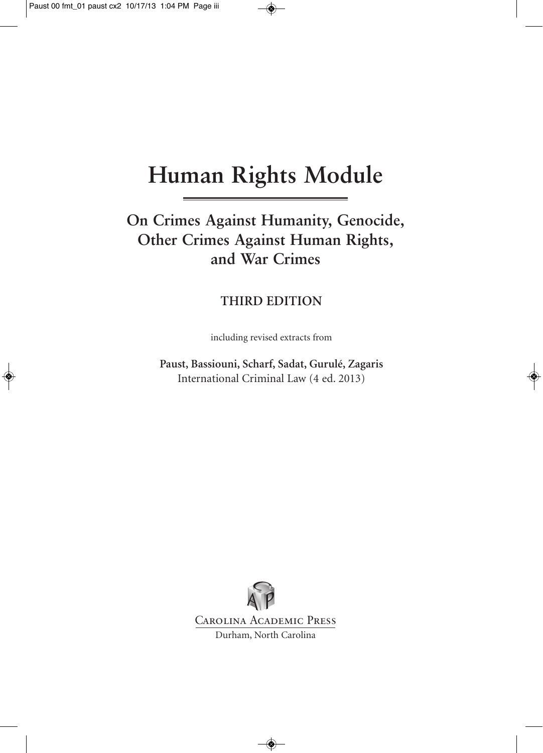# **Human Rights Module**

### **On Crimes Against Humanity, Genocide, Other Crimes Against Human Rights, and War Crimes**

#### **THIRD EDITION**

including revised extracts from

**Paust, Bassiouni, Scharf, Sadat, Gurulé, Zagaris** International Criminal Law (4 ed. 2013)

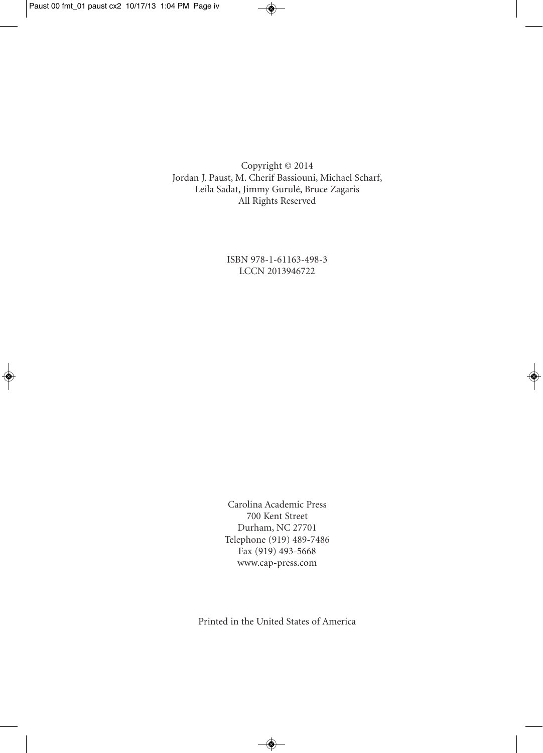Copyright © 2014 Jordan J. Paust, M. Cherif Bassiouni, Michael Scharf, Leila Sadat, Jimmy Gurulé, Bruce Zagaris All Rights Reserved

> ISBN 978-1-61163-498-3 LCCN 2013946722

Carolina Academic Press 700 Kent Street Durham, NC 27701 Telephone (919) 489-7486 Fax (919) 493-5668 www.cap-press.com

Printed in the United States of America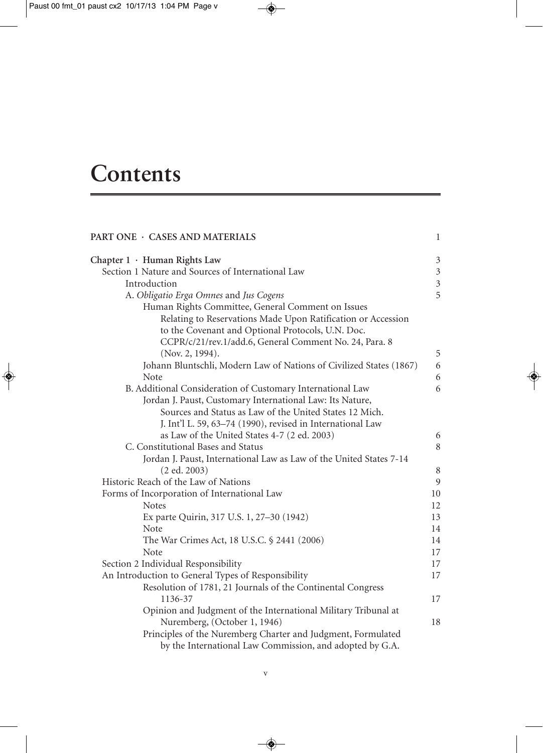# **Contents**

| PART ONE · CASES AND MATERIALS                                      | $\,1$          |
|---------------------------------------------------------------------|----------------|
| Chapter 1 · Human Rights Law                                        | $\mathfrak z$  |
| Section 1 Nature and Sources of International Law                   | $\mathfrak{Z}$ |
| Introduction                                                        | $\mathfrak{Z}$ |
| A. Obligatio Erga Omnes and Jus Cogens                              | 5              |
| Human Rights Committee, General Comment on Issues                   |                |
| Relating to Reservations Made Upon Ratification or Accession        |                |
| to the Covenant and Optional Protocols, U.N. Doc.                   |                |
| CCPR/c/21/rev.1/add.6, General Comment No. 24, Para. 8              |                |
| (Nov. 2, 1994).                                                     | 5              |
| Johann Bluntschli, Modern Law of Nations of Civilized States (1867) | 6              |
| Note                                                                | 6              |
| B. Additional Consideration of Customary International Law          | 6              |
| Jordan J. Paust, Customary International Law: Its Nature,           |                |
| Sources and Status as Law of the United States 12 Mich.             |                |
| J. Int'l L. 59, 63–74 (1990), revised in International Law          |                |
| as Law of the United States 4-7 (2 ed. 2003)                        | 6              |
| C. Constitutional Bases and Status                                  | 8              |
| Jordan J. Paust, International Law as Law of the United States 7-14 |                |
| (2 ed. 2003)                                                        | $\,8\,$        |
| Historic Reach of the Law of Nations                                | 9              |
| Forms of Incorporation of International Law                         | 10             |
| <b>Notes</b>                                                        | 12             |
| Ex parte Quirin, 317 U.S. 1, 27-30 (1942)                           | 13             |
| Note                                                                | 14             |
| The War Crimes Act, 18 U.S.C. § 2441 (2006)                         | 14             |
| Note                                                                | 17             |
| Section 2 Individual Responsibility                                 | 17             |
| An Introduction to General Types of Responsibility                  | 17             |
| Resolution of 1781, 21 Journals of the Continental Congress         |                |
| 1136-37                                                             | 17             |
| Opinion and Judgment of the International Military Tribunal at      |                |
| Nuremberg, (October 1, 1946)                                        | 18             |
| Principles of the Nuremberg Charter and Judgment, Formulated        |                |
| by the International Law Commission, and adopted by G.A.            |                |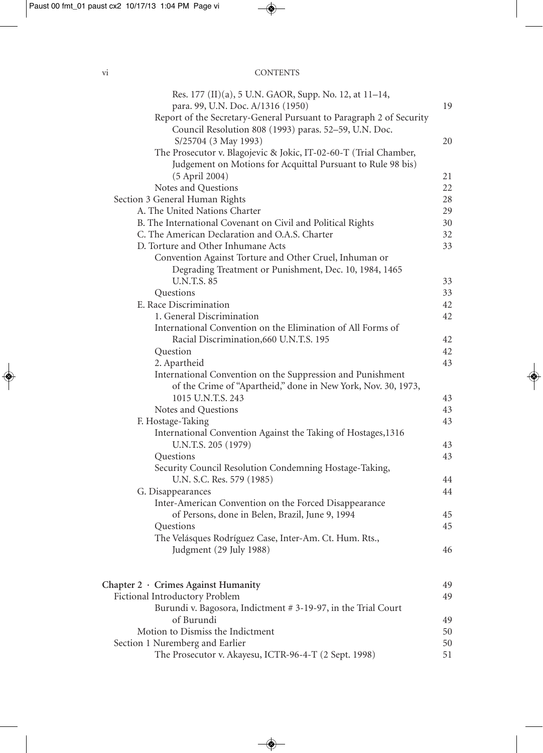#### vi CONTENTS

| Res. 177 (II)(a), 5 U.N. GAOR, Supp. No. 12, at 11-14,                       |    |
|------------------------------------------------------------------------------|----|
| para. 99, U.N. Doc. A/1316 (1950)                                            | 19 |
| Report of the Secretary-General Pursuant to Paragraph 2 of Security          |    |
| Council Resolution 808 (1993) paras. 52-59, U.N. Doc.                        |    |
| S/25704 (3 May 1993)                                                         | 20 |
| The Prosecutor v. Blagojevic & Jokic, IT-02-60-T (Trial Chamber,             |    |
| Judgement on Motions for Acquittal Pursuant to Rule 98 bis)                  |    |
| (5 April 2004)                                                               | 21 |
| Notes and Questions                                                          | 22 |
| Section 3 General Human Rights                                               | 28 |
| A. The United Nations Charter                                                | 29 |
| B. The International Covenant on Civil and Political Rights                  | 30 |
| C. The American Declaration and O.A.S. Charter                               | 32 |
| D. Torture and Other Inhumane Acts                                           | 33 |
|                                                                              |    |
| Convention Against Torture and Other Cruel, Inhuman or                       |    |
| Degrading Treatment or Punishment, Dec. 10, 1984, 1465<br><b>U.N.T.S. 85</b> |    |
|                                                                              | 33 |
| Questions                                                                    | 33 |
| E. Race Discrimination                                                       | 42 |
| 1. General Discrimination                                                    | 42 |
| International Convention on the Elimination of All Forms of                  |    |
| Racial Discrimination, 660 U.N.T.S. 195                                      | 42 |
| Question                                                                     | 42 |
| 2. Apartheid                                                                 | 43 |
| International Convention on the Suppression and Punishment                   |    |
| of the Crime of "Apartheid," done in New York, Nov. 30, 1973,                |    |
| 1015 U.N.T.S. 243                                                            | 43 |
| Notes and Questions                                                          | 43 |
| F. Hostage-Taking                                                            | 43 |
| International Convention Against the Taking of Hostages, 1316                |    |
| U.N.T.S. 205 (1979)                                                          | 43 |
| Questions                                                                    | 43 |
| Security Council Resolution Condemning Hostage-Taking,                       |    |
| U.N. S.C. Res. 579 (1985)                                                    | 44 |
| G. Disappearances                                                            | 44 |
| Inter-American Convention on the Forced Disappearance                        |    |
| of Persons, done in Belen, Brazil, June 9, 1994                              | 45 |
| Questions                                                                    | 45 |
| The Velásques Rodríguez Case, Inter-Am. Ct. Hum. Rts.,                       |    |
| Judgment (29 July 1988)                                                      | 46 |
|                                                                              |    |
|                                                                              |    |
| Chapter 2 · Crimes Against Humanity                                          | 49 |
| Fictional Introductory Problem                                               | 49 |
| Burundi v. Bagosora, Indictment # 3-19-97, in the Trial Court                |    |
| of Burundi                                                                   | 49 |
| Motion to Dismiss the Indictment                                             | 50 |
| Section 1 Nuremberg and Earlier                                              | 50 |
| The Prosecutor v. Akayesu, ICTR-96-4-T (2 Sept. 1998)                        | 51 |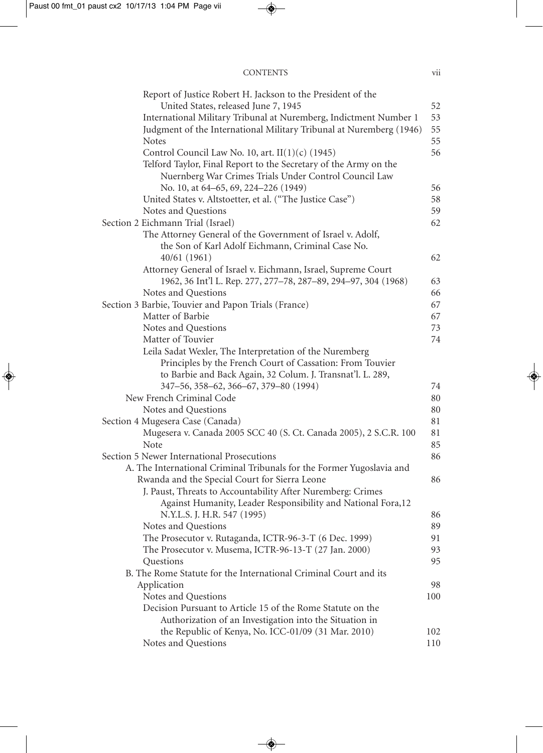| <b>CONTENTS</b> | <br>V11 |
|-----------------|---------|
|                 |         |

| Report of Justice Robert H. Jackson to the President of the           |     |
|-----------------------------------------------------------------------|-----|
| United States, released June 7, 1945                                  | 52  |
| International Military Tribunal at Nuremberg, Indictment Number 1     | 53  |
| Judgment of the International Military Tribunal at Nuremberg (1946)   | 55  |
| <b>Notes</b>                                                          | 55  |
| Control Council Law No. 10, art. $II(1)(c)$ (1945)                    | 56  |
| Telford Taylor, Final Report to the Secretary of the Army on the      |     |
| Nuernberg War Crimes Trials Under Control Council Law                 |     |
| No. 10, at 64–65, 69, 224–226 (1949)                                  | 56  |
| United States v. Altstoetter, et al. ("The Justice Case")             | 58  |
| Notes and Questions                                                   | 59  |
| Section 2 Eichmann Trial (Israel)                                     | 62  |
| The Attorney General of the Government of Israel v. Adolf,            |     |
| the Son of Karl Adolf Eichmann, Criminal Case No.                     |     |
| 40/61 (1961)                                                          | 62  |
| Attorney General of Israel v. Eichmann, Israel, Supreme Court         |     |
| 1962, 36 Int'l L. Rep. 277, 277-78, 287-89, 294-97, 304 (1968)        | 63  |
| Notes and Questions                                                   | 66  |
| Section 3 Barbie, Touvier and Papon Trials (France)                   | 67  |
| Matter of Barbie                                                      | 67  |
| Notes and Questions                                                   | 73  |
| Matter of Touvier                                                     | 74  |
| Leila Sadat Wexler, The Interpretation of the Nuremberg               |     |
| Principles by the French Court of Cassation: From Touvier             |     |
| to Barbie and Back Again, 32 Colum. J. Transnat'l. L. 289,            |     |
| 347-56, 358-62, 366-67, 379-80 (1994)                                 | 74  |
| New French Criminal Code                                              | 80  |
| Notes and Questions                                                   | 80  |
| Section 4 Mugesera Case (Canada)                                      | 81  |
| Mugesera v. Canada 2005 SCC 40 (S. Ct. Canada 2005), 2 S.C.R. 100     | 81  |
| Note                                                                  | 85  |
| Section 5 Newer International Prosecutions                            | 86  |
| A. The International Criminal Tribunals for the Former Yugoslavia and |     |
| Rwanda and the Special Court for Sierra Leone                         | 86  |
| J. Paust, Threats to Accountability After Nuremberg: Crimes           |     |
| Against Humanity, Leader Responsibility and National Fora, 12         |     |
| N.Y.L.S. J. H.R. 547 (1995)                                           | 86  |
| Notes and Questions                                                   | 89  |
| The Prosecutor v. Rutaganda, ICTR-96-3-T (6 Dec. 1999)                | 91  |
| The Prosecutor v. Musema, ICTR-96-13-T (27 Jan. 2000)                 | 93  |
| Questions                                                             | 95  |
| B. The Rome Statute for the International Criminal Court and its      |     |
| Application                                                           | 98  |
| Notes and Questions                                                   | 100 |
| Decision Pursuant to Article 15 of the Rome Statute on the            |     |
| Authorization of an Investigation into the Situation in               |     |
| the Republic of Kenya, No. ICC-01/09 (31 Mar. 2010)                   | 102 |
| Notes and Questions                                                   | 110 |
|                                                                       |     |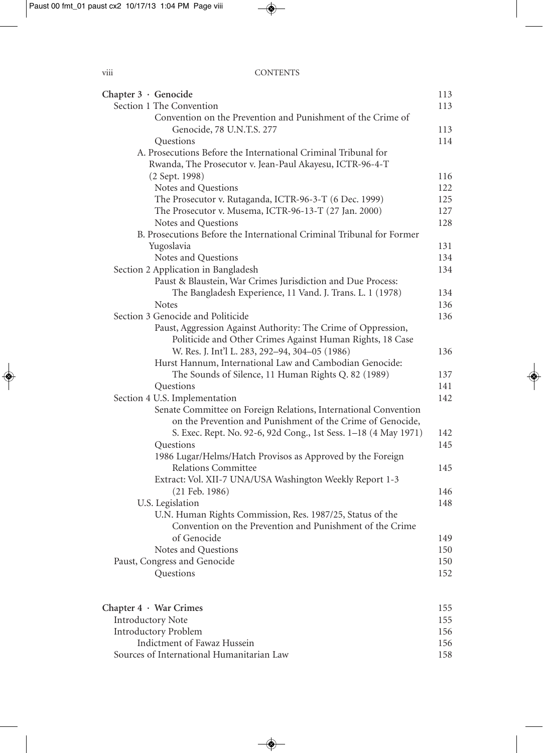| Chapter 3 · Genocide                                                  | 113 |
|-----------------------------------------------------------------------|-----|
| Section 1 The Convention                                              | 113 |
| Convention on the Prevention and Punishment of the Crime of           |     |
| Genocide, 78 U.N.T.S. 277                                             | 113 |
| Questions                                                             | 114 |
| A. Prosecutions Before the International Criminal Tribunal for        |     |
| Rwanda, The Prosecutor v. Jean-Paul Akayesu, ICTR-96-4-T              |     |
| (2 Sept. 1998)                                                        | 116 |
| Notes and Questions                                                   | 122 |
| The Prosecutor v. Rutaganda, ICTR-96-3-T (6 Dec. 1999)                | 125 |
| The Prosecutor v. Musema, ICTR-96-13-T (27 Jan. 2000)                 | 127 |
| Notes and Questions                                                   | 128 |
| B. Prosecutions Before the International Criminal Tribunal for Former |     |
| Yugoslavia                                                            | 131 |
| Notes and Questions                                                   | 134 |
| Section 2 Application in Bangladesh                                   | 134 |
| Paust & Blaustein, War Crimes Jurisdiction and Due Process:           |     |
| The Bangladesh Experience, 11 Vand. J. Trans. L. 1 (1978)             | 134 |
| <b>Notes</b>                                                          | 136 |
| Section 3 Genocide and Politicide                                     | 136 |
| Paust, Aggression Against Authority: The Crime of Oppression,         |     |
| Politicide and Other Crimes Against Human Rights, 18 Case             |     |
| W. Res. J. Int'l L. 283, 292-94, 304-05 (1986)                        | 136 |
| Hurst Hannum, International Law and Cambodian Genocide:               |     |
|                                                                       | 137 |
| The Sounds of Silence, 11 Human Rights Q. 82 (1989)                   | 141 |
| Questions                                                             | 142 |
| Section 4 U.S. Implementation                                         |     |
| Senate Committee on Foreign Relations, International Convention       |     |
| on the Prevention and Punishment of the Crime of Genocide,            |     |
| S. Exec. Rept. No. 92-6, 92d Cong., 1st Sess. 1-18 (4 May 1971)       | 142 |
| Questions                                                             | 145 |
| 1986 Lugar/Helms/Hatch Provisos as Approved by the Foreign            |     |
| Relations Committee                                                   | 145 |
| Extract: Vol. XII-7 UNA/USA Washington Weekly Report 1-3              |     |
| $(21$ Feb. 1986)                                                      | 146 |
| U.S. Legislation                                                      | 148 |
| U.N. Human Rights Commission, Res. 1987/25, Status of the             |     |
| Convention on the Prevention and Punishment of the Crime              |     |
| of Genocide                                                           | 149 |
| Notes and Questions                                                   | 150 |
| Paust, Congress and Genocide                                          | 150 |
| Questions                                                             | 152 |
| Chapter $4 \cdot$ War Crimes                                          | 155 |
| <b>Introductory Note</b>                                              | 155 |
| <b>Introductory Problem</b>                                           | 156 |
| Indictment of Fawaz Hussein                                           | 156 |

Sources of International Humanitarian Law 158

| × |  |  |
|---|--|--|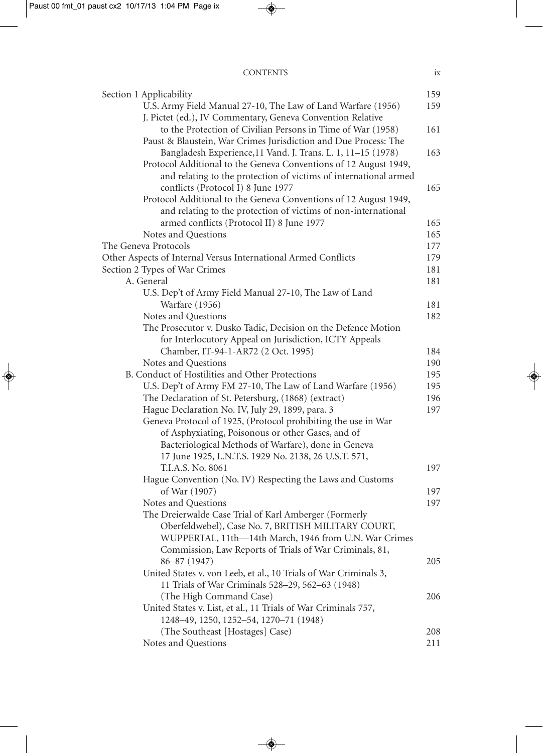#### CONTENTS ix

| Section 1 Applicability                                                     | 159 |
|-----------------------------------------------------------------------------|-----|
| U.S. Army Field Manual 27-10, The Law of Land Warfare (1956)                | 159 |
| J. Pictet (ed.), IV Commentary, Geneva Convention Relative                  |     |
| to the Protection of Civilian Persons in Time of War (1958)                 | 161 |
| Paust & Blaustein, War Crimes Jurisdiction and Due Process: The             |     |
| Bangladesh Experience, 11 Vand. J. Trans. L. 1, 11-15 (1978)                | 163 |
| Protocol Additional to the Geneva Conventions of 12 August 1949,            |     |
| and relating to the protection of victims of international armed            |     |
| conflicts (Protocol I) 8 June 1977                                          | 165 |
| Protocol Additional to the Geneva Conventions of 12 August 1949,            |     |
| and relating to the protection of victims of non-international              |     |
| armed conflicts (Protocol II) 8 June 1977                                   | 165 |
| Notes and Questions                                                         | 165 |
| The Geneva Protocols                                                        | 177 |
| Other Aspects of Internal Versus International Armed Conflicts              | 179 |
| Section 2 Types of War Crimes                                               | 181 |
| A. General                                                                  | 181 |
| U.S. Dep't of Army Field Manual 27-10, The Law of Land                      |     |
| <b>Warfare</b> (1956)                                                       | 181 |
| Notes and Questions                                                         | 182 |
| The Prosecutor v. Dusko Tadic, Decision on the Defence Motion               |     |
| for Interlocutory Appeal on Jurisdiction, ICTY Appeals                      |     |
| Chamber, IT-94-1-AR72 (2 Oct. 1995)                                         | 184 |
| Notes and Questions                                                         | 190 |
| B. Conduct of Hostilities and Other Protections                             | 195 |
| U.S. Dep't of Army FM 27-10, The Law of Land Warfare (1956)                 | 195 |
| The Declaration of St. Petersburg, (1868) (extract)                         | 196 |
| Hague Declaration No. IV, July 29, 1899, para. 3                            | 197 |
| Geneva Protocol of 1925, (Protocol prohibiting the use in War               |     |
| of Asphyxiating, Poisonous or other Gases, and of                           |     |
| Bacteriological Methods of Warfare), done in Geneva                         |     |
| 17 June 1925, L.N.T.S. 1929 No. 2138, 26 U.S.T. 571,                        |     |
| T.I.A.S. No. 8061                                                           | 197 |
| Hague Convention (No. IV) Respecting the Laws and Customs                   |     |
| of War (1907)                                                               | 197 |
| Notes and Questions                                                         | 197 |
| The Dreierwalde Case Trial of Karl Amberger (Formerly                       |     |
| Oberfeldwebel), Case No. 7, BRITISH MILITARY COURT,                         |     |
| WUPPERTAL, 11th-14th March, 1946 from U.N. War Crimes                       |     |
| Commission, Law Reports of Trials of War Criminals, 81,                     |     |
| 86-87 (1947)                                                                | 205 |
| United States v. von Leeb, et al., 10 Trials of War Criminals 3,            |     |
| 11 Trials of War Criminals 528-29, 562-63 (1948)<br>(The High Command Case) |     |
| United States v. List, et al., 11 Trials of War Criminals 757,              | 206 |
| 1248-49, 1250, 1252-54, 1270-71 (1948)                                      |     |
| (The Southeast [Hostages] Case)                                             | 208 |
| Notes and Questions                                                         | 211 |
|                                                                             |     |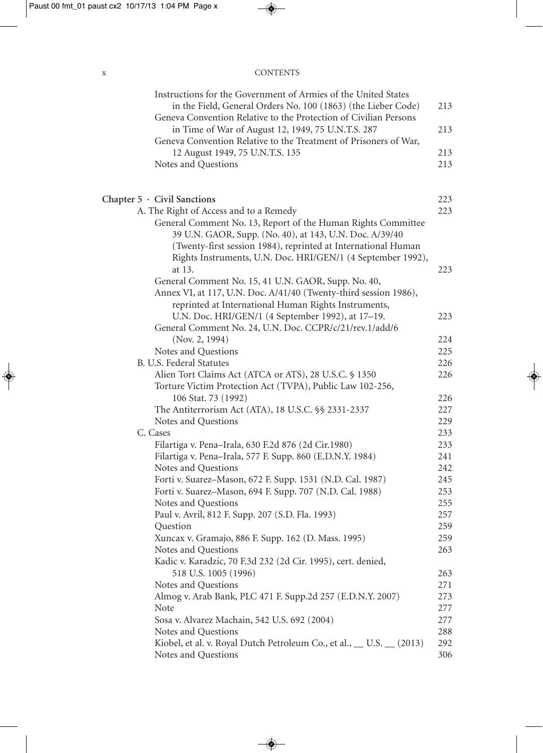x CONTENTS

| Instructions for the Government of Armies of the United States<br>in the Field, General Orders No. 100 (1863) (the Lieber Code) | 213        |
|---------------------------------------------------------------------------------------------------------------------------------|------------|
| Geneva Convention Relative to the Protection of Civilian Persons<br>in Time of War of August 12, 1949, 75 U.N.T.S. 287          | 213        |
| Geneva Convention Relative to the Treatment of Prisoners of War,<br>12 August 1949, 75 U.N.T.S. 135                             | 213        |
| Notes and Questions                                                                                                             | 213        |
| Chapter $5 \cdot$ Civil Sanctions                                                                                               | 223        |
| A. The Right of Access and to a Remedy                                                                                          | 223        |
| General Comment No. 13, Report of the Human Rights Committee<br>39 U.N. GAOR, Supp. (No. 40), at 143, U.N. Doc. A/39/40         |            |
| (Twenty-first session 1984), reprinted at International Human                                                                   |            |
| Rights Instruments, U.N. Doc. HRI/GEN/1 (4 September 1992),                                                                     |            |
| at 13.                                                                                                                          | 223        |
| General Comment No. 15, 41 U.N. GAOR, Supp. No. 40,                                                                             |            |
| Annex VI, at 117, U.N. Doc. A/41/40 (Twenty-third session 1986),                                                                |            |
| reprinted at International Human Rights Instruments,                                                                            | 223        |
| U.N. Doc. HRI/GEN/1 (4 September 1992), at 17-19.<br>General Comment No. 24, U.N. Doc. CCPR/c/21/rev.1/add/6                    |            |
| (Nov. 2, 1994)                                                                                                                  | 224        |
| Notes and Questions                                                                                                             | 225        |
| B. U.S. Federal Statutes                                                                                                        | 226        |
| Alien Tort Claims Act (ATCA or ATS), 28 U.S.C. § 1350                                                                           | 226        |
| Torture Victim Protection Act (TVPA), Public Law 102-256,                                                                       | 226        |
| 106 Stat. 73 (1992)<br>The Antiterrorism Act (ATA), 18 U.S.C. §§ 2331-2337                                                      | 227        |
| Notes and Questions                                                                                                             | 229        |
| C. Cases                                                                                                                        | 233        |
| Filartiga v. Pena-Irala, 630 F.2d 876 (2d Cir.1980)                                                                             | 233        |
| Filartiga v. Pena-Irala, 577 F. Supp. 860 (E.D.N.Y. 1984)                                                                       | 241        |
| Notes and Questions                                                                                                             | 242        |
| Forti v. Suarez-Mason, 672 F. Supp. 1531 (N.D. Cal. 1987)                                                                       | 245        |
| Forti v. Suarez-Mason, 694 F. Supp. 707 (N.D. Cal. 1988)                                                                        | 253        |
| Notes and Questions                                                                                                             | 255        |
| Paul v. Avril, 812 F. Supp. 207 (S.D. Fla. 1993)                                                                                | 257        |
| Question                                                                                                                        | 259        |
| Xuncax v. Gramajo, 886 F. Supp. 162 (D. Mass. 1995)                                                                             | 259        |
| Notes and Questions                                                                                                             | 263        |
| Kadic v. Karadzic, 70 F.3d 232 (2d Cir. 1995), cert. denied,                                                                    |            |
| 518 U.S. 1005 (1996)                                                                                                            | 263        |
| Notes and Questions                                                                                                             | 271        |
| Almog v. Arab Bank, PLC 471 F. Supp.2d 257 (E.D.N.Y. 2007)                                                                      | 273        |
| Note                                                                                                                            | 277        |
| Sosa v. Alvarez Machain, 542 U.S. 692 (2004)                                                                                    | 277        |
| Notes and Questions                                                                                                             | 288        |
| Kiobel, et al. v. Royal Dutch Petroleum Co., et al., U.S. (2013)<br>Notes and Questions                                         | 292<br>306 |
|                                                                                                                                 |            |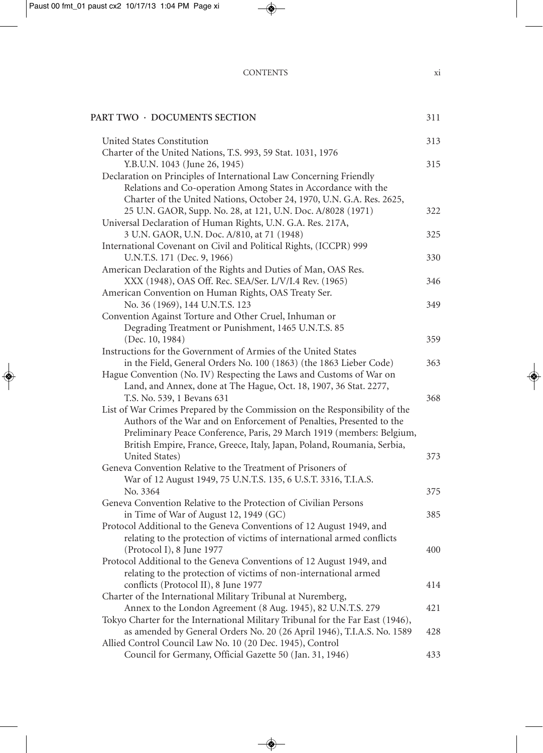#### CONTENTS xi

#### **PART TWO · DOCUMENTS SECTION** 311

| United States Constitution                                                     | 313 |
|--------------------------------------------------------------------------------|-----|
| Charter of the United Nations, T.S. 993, 59 Stat. 1031, 1976                   |     |
| Y.B.U.N. 1043 (June 26, 1945)                                                  | 315 |
| Declaration on Principles of International Law Concerning Friendly             |     |
| Relations and Co-operation Among States in Accordance with the                 |     |
| Charter of the United Nations, October 24, 1970, U.N. G.A. Res. 2625,          |     |
| 25 U.N. GAOR, Supp. No. 28, at 121, U.N. Doc. A/8028 (1971)                    | 322 |
| Universal Declaration of Human Rights, U.N. G.A. Res. 217A,                    |     |
| 3 U.N. GAOR, U.N. Doc. A/810, at 71 (1948)                                     | 325 |
| International Covenant on Civil and Political Rights, (ICCPR) 999              |     |
| U.N.T.S. 171 (Dec. 9, 1966)                                                    | 330 |
| American Declaration of the Rights and Duties of Man, OAS Res.                 |     |
| XXX (1948), OAS Off. Rec. SEA/Ser. L/V/I.4 Rev. (1965)                         | 346 |
| American Convention on Human Rights, OAS Treaty Ser.                           |     |
| No. 36 (1969), 144 U.N.T.S. 123                                                | 349 |
| Convention Against Torture and Other Cruel, Inhuman or                         |     |
| Degrading Treatment or Punishment, 1465 U.N.T.S. 85                            |     |
| (Dec. 10, 1984)                                                                | 359 |
| Instructions for the Government of Armies of the United States                 |     |
| in the Field, General Orders No. 100 (1863) (the 1863 Lieber Code)             | 363 |
| Hague Convention (No. IV) Respecting the Laws and Customs of War on            |     |
| Land, and Annex, done at The Hague, Oct. 18, 1907, 36 Stat. 2277,              |     |
| T.S. No. 539, 1 Bevans 631                                                     | 368 |
| List of War Crimes Prepared by the Commission on the Responsibility of the     |     |
| Authors of the War and on Enforcement of Penalties, Presented to the           |     |
| Preliminary Peace Conference, Paris, 29 March 1919 (members: Belgium,          |     |
| British Empire, France, Greece, Italy, Japan, Poland, Roumania, Serbia,        |     |
| United States)                                                                 | 373 |
| Geneva Convention Relative to the Treatment of Prisoners of                    |     |
| War of 12 August 1949, 75 U.N.T.S. 135, 6 U.S.T. 3316, T.I.A.S.                |     |
| No. 3364                                                                       | 375 |
| Geneva Convention Relative to the Protection of Civilian Persons               |     |
|                                                                                | 385 |
| in Time of War of August 12, 1949 (GC)                                         |     |
| Protocol Additional to the Geneva Conventions of 12 August 1949, and           |     |
| relating to the protection of victims of international armed conflicts         |     |
| (Protocol I), 8 June 1977                                                      | 400 |
| Protocol Additional to the Geneva Conventions of 12 August 1949, and           |     |
| relating to the protection of victims of non-international armed               |     |
| conflicts (Protocol II), 8 June 1977                                           | 414 |
| Charter of the International Military Tribunal at Nuremberg,                   |     |
| Annex to the London Agreement (8 Aug. 1945), 82 U.N.T.S. 279                   | 421 |
| Tokyo Charter for the International Military Tribunal for the Far East (1946), |     |
| as amended by General Orders No. 20 (26 April 1946), T.I.A.S. No. 1589         | 428 |
| Allied Control Council Law No. 10 (20 Dec. 1945), Control                      |     |
| Council for Germany, Official Gazette 50 (Jan. 31, 1946)                       | 433 |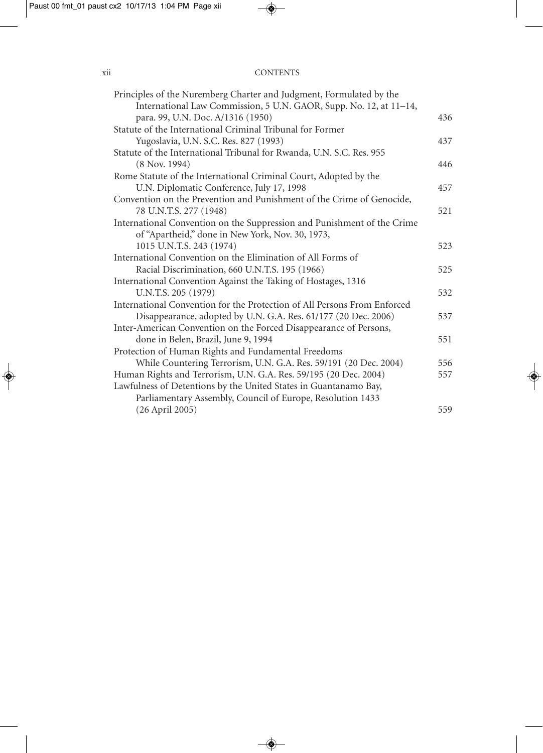#### xii CONTENTS

| Principles of the Nuremberg Charter and Judgment, Formulated by the      |     |
|--------------------------------------------------------------------------|-----|
| International Law Commission, 5 U.N. GAOR, Supp. No. 12, at 11-14,       |     |
| para. 99, U.N. Doc. A/1316 (1950)                                        | 436 |
| Statute of the International Criminal Tribunal for Former                |     |
| Yugoslavia, U.N. S.C. Res. 827 (1993)                                    | 437 |
| Statute of the International Tribunal for Rwanda, U.N. S.C. Res. 955     |     |
| $(8$ Nov. 1994)                                                          | 446 |
| Rome Statute of the International Criminal Court, Adopted by the         |     |
| U.N. Diplomatic Conference, July 17, 1998                                | 457 |
| Convention on the Prevention and Punishment of the Crime of Genocide,    |     |
| 78 U.N.T.S. 277 (1948)                                                   | 521 |
| International Convention on the Suppression and Punishment of the Crime  |     |
| of "Apartheid," done in New York, Nov. 30, 1973,                         |     |
| 1015 U.N.T.S. 243 (1974)                                                 | 523 |
| International Convention on the Elimination of All Forms of              |     |
| Racial Discrimination, 660 U.N.T.S. 195 (1966)                           | 525 |
| International Convention Against the Taking of Hostages, 1316            |     |
| U.N.T.S. 205 (1979)                                                      | 532 |
| International Convention for the Protection of All Persons From Enforced |     |
| Disappearance, adopted by U.N. G.A. Res. 61/177 (20 Dec. 2006)           | 537 |
| Inter-American Convention on the Forced Disappearance of Persons,        |     |
| done in Belen, Brazil, June 9, 1994                                      | 551 |
| Protection of Human Rights and Fundamental Freedoms                      |     |
| While Countering Terrorism, U.N. G.A. Res. 59/191 (20 Dec. 2004)         | 556 |
| Human Rights and Terrorism, U.N. G.A. Res. 59/195 (20 Dec. 2004)         | 557 |
| Lawfulness of Detentions by the United States in Guantanamo Bay,         |     |
| Parliamentary Assembly, Council of Europe, Resolution 1433               |     |
| (26 April 2005)                                                          | 559 |